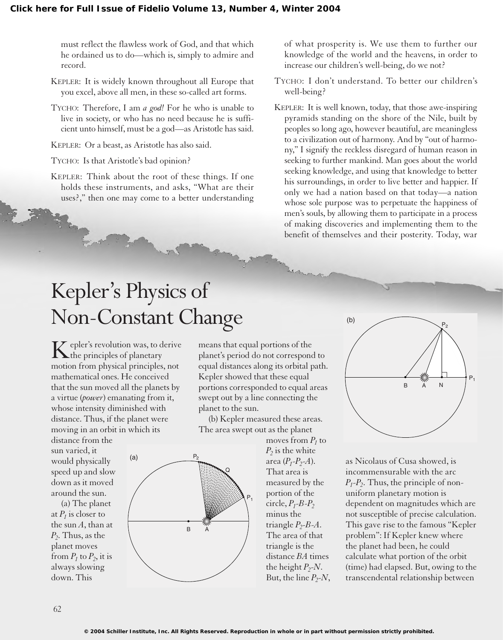must reflect the flawless work of God, and that which he ordained us to do—which is, simply to admire and record.

- KEPLER: It is widely known throughout all Europe that you excel, above all men, in these so-called art forms.
- TYCHO: Therefore, I am *a god!* For he who is unable to live in society, or who has no need because he is sufficient unto himself, must be a god—as Aristotle has said.

KEPLER: Or a beast, as Aristotle has also said.

TYCHO: Is that Aristotle's bad opinion?

KEPLER: Think about the root of these things. If one holds these instruments, and asks, "What are their uses?," then one may come to a better understanding

of what prosperity is. We use them to further our knowledge of the world and the heavens, in order to increase our children's well-being, do we not?

- TYCHO: I don't understand. To better our children's well-being?
- KEPLER: It is well known, today, that those awe-inspiring pyramids standing on the shore of the Nile, built by peoples so long ago, however beautiful, are meaningless to a civilization out of harmony. And by "out of harmony," I signify the reckless disregard of human reason in seeking to further mankind. Man goes about the world seeking knowledge, and using that knowledge to better his surroundings, in order to live better and happier. If only we had a nation based on that today—a nation whose sole purpose was to perpetuate the happiness of men's souls, by allowing them to participate in a process of making discoveries and implementing them to the benefit of themselves and their posterity. Today, war

## Kepler's Physics of Non-Constant Change

Kepler's revolution was, to derive the principles of planetary motion from physical principles, not mathematical ones. He conceived that the sun moved all the planets by a virtue (*power*) emanating from it, whose intensity diminished with distance. Thus, if the planet were moving in an orbit in which its

(a)

distance from the sun varied, it would physically speed up and slow down as it moved around the sun.

(a) The planet at  $P_1$  is closer to the sun *A*, than at *P2*. Thus, as the planet moves from  $P_1$  to  $P_2$ , it is always slowing down. This

means that equal portions of the planet's period do not correspond to equal distances along its orbital path. Kepler showed that these equal portions corresponded to equal areas swept out by a line connecting the planet to the sun.

(b) Kepler measured these areas. The area swept out as the planet



moves from  $P_1$  to  $P<sub>2</sub>$  is the white area  $(P_1 - P_2 - A)$ . That area is measured by the portion of the  $circle, P_1$ - $B$ - $P_2$ minus the triangle  $P_2$ - $B$ - $A$ . The area of that triangle is the distance *BA* times the height  $P_2$ -*N*. But, the line  $P_2$ -*N*,



as Nicolaus of Cusa showed, is incommensurable with the arc  $P_1 - P_2$ . Thus, the principle of nonuniform planetary motion is dependent on magnitudes which are not susceptible of precise calculation. This gave rise to the famous "Kepler problem": If Kepler knew where the planet had been, he could calculate what portion of the orbit (time) had elapsed. But, owing to the transcendental relationship between